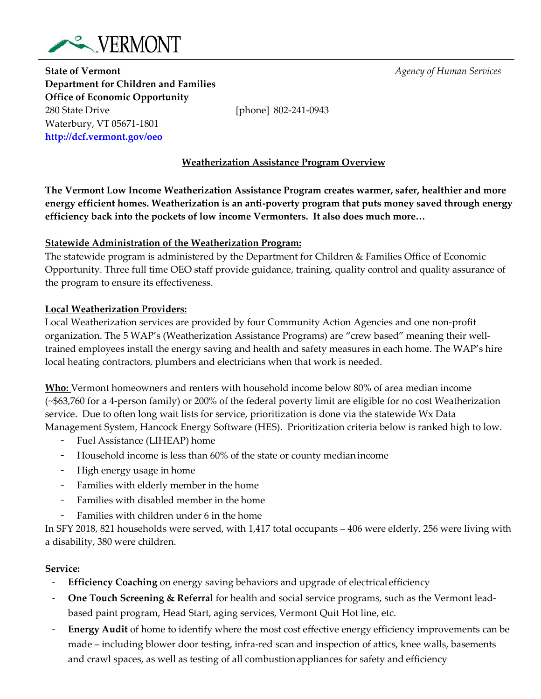

**State of Vermont** *Agency of Human Services* **Department for Children and Families Office of Economic Opportunity** 280 State Drive [phone] 802-241-0943 Waterbury, VT 05671-1801 **<http://dcf.vermont.gov/oeo>**

## **Weatherization Assistance Program Overview**

**The Vermont Low Income Weatherization Assistance Program creates warmer, safer, healthier and more energy efficient homes. Weatherization is an anti‐poverty program that puts money saved through energy efficiency back into the pockets of low income Vermonters. It also does much more…**

### **Statewide Administration of the Weatherization Program:**

The statewide program is administered by the Department for Children & Families Office of Economic Opportunity. Three full time OEO staff provide guidance, training, quality control and quality assurance of the program to ensure its effectiveness.

## **Local Weatherization Providers:**

Local Weatherization services are provided by four Community Action Agencies and one non-profit organization. The 5 WAP's (Weatherization Assistance Programs) are "crew based" meaning their welltrained employees install the energy saving and health and safety measures in each home. The WAP's hire local heating contractors, plumbers and electricians when that work is needed.

**Who:** Vermont homeowners and renters with household income below 80% of area median income (~\$63,760 for a 4-person family) or 200% of the federal poverty limit are eligible for no cost Weatherization service. Due to often long wait lists for service, prioritization is done via the statewide Wx Data Management System, Hancock Energy Software (HES). Prioritization criteria below is ranked high to low.

- <sup>−</sup> Fuel Assistance (LIHEAP) home
- <sup>−</sup> Household income is less than 60% of the state or county medianincome
- <sup>−</sup> High energy usage in home
- <sup>−</sup> Families with elderly member in the home
- <sup>−</sup> Families with disabled member in the home
- Families with children under 6 in the home

In SFY 2018, 821 households were served, with 1,417 total occupants – 406 were elderly, 256 were living with a disability, 380 were children.

# **Service:**

- **Efficiency Coaching** on energy saving behaviors and upgrade of electrical efficiency
- <sup>−</sup> **One Touch Screening & Referral** for health and social service programs, such as the Vermont leadbased paint program, Head Start, aging services, Vermont Quit Hot line, etc.
- <sup>−</sup> **Energy Audit** of home to identify where the most cost effective energy efficiency improvements can be made – including blower door testing, infra-red scan and inspection of attics, knee walls, basements and crawl spaces, as well as testing of all combustionappliances for safety and efficiency